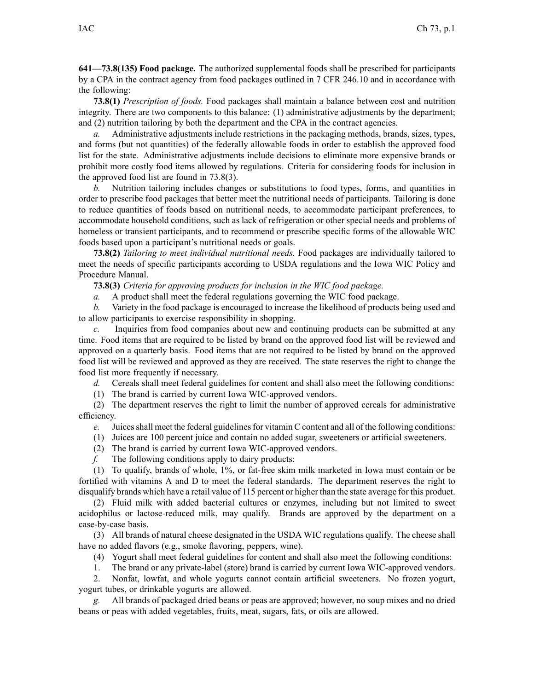**641—73.8(135) Food package.** The authorized supplemental foods shall be prescribed for participants by <sup>a</sup> CPA in the contract agency from food packages outlined in 7 CFR 246.10 and in accordance with the following:

**73.8(1)** *Prescription of foods.* Food packages shall maintain <sup>a</sup> balance between cost and nutrition integrity. There are two components to this balance: (1) administrative adjustments by the department; and (2) nutrition tailoring by both the department and the CPA in the contract agencies.

*a.* Administrative adjustments include restrictions in the packaging methods, brands, sizes, types, and forms (but not quantities) of the federally allowable foods in order to establish the approved food list for the state. Administrative adjustments include decisions to eliminate more expensive brands or prohibit more costly food items allowed by regulations. Criteria for considering foods for inclusion in the approved food list are found in [73.8\(3\)](https://www.legis.iowa.gov/docs/iac/rule/641.73.8.pdf).

*b.* Nutrition tailoring includes changes or substitutions to food types, forms, and quantities in order to prescribe food packages that better meet the nutritional needs of participants. Tailoring is done to reduce quantities of foods based on nutritional needs, to accommodate participant preferences, to accommodate household conditions, such as lack of refrigeration or other special needs and problems of homeless or transient participants, and to recommend or prescribe specific forms of the allowable WIC foods based upon <sup>a</sup> participant's nutritional needs or goals.

**73.8(2)** *Tailoring to meet individual nutritional needs.* Food packages are individually tailored to meet the needs of specific participants according to USDA regulations and the Iowa WIC Policy and Procedure Manual.

**73.8(3)** *Criteria for approving products for inclusion in the WIC food package.*

*a.* A product shall meet the federal regulations governing the WIC food package.

*b.* Variety in the food package is encouraged to increase the likelihood of products being used and to allow participants to exercise responsibility in shopping.

*c.* Inquiries from food companies about new and continuing products can be submitted at any time. Food items that are required to be listed by brand on the approved food list will be reviewed and approved on <sup>a</sup> quarterly basis. Food items that are not required to be listed by brand on the approved food list will be reviewed and approved as they are received. The state reserves the right to change the food list more frequently if necessary.

*d.* Cereals shall meet federal guidelines for content and shall also meet the following conditions:

(1) The brand is carried by current Iowa WIC-approved vendors.

(2) The department reserves the right to limit the number of approved cereals for administrative efficiency.

*e.* Juices shall meet the federal guidelines for vitamin C content and all of the following conditions:

(1) Juices are 100 percen<sup>t</sup> juice and contain no added sugar, sweeteners or artificial sweeteners.

- (2) The brand is carried by current Iowa WIC-approved vendors.
- *f.* The following conditions apply to dairy products:

(1) To qualify, brands of whole, 1%, or fat-free skim milk marketed in Iowa must contain or be fortified with vitamins A and D to meet the federal standards. The department reserves the right to disqualify brands which have <sup>a</sup> retail value of 115 percen<sup>t</sup> or higher than the state average for this product.

(2) Fluid milk with added bacterial cultures or enzymes, including but not limited to sweet acidophilus or lactose-reduced milk, may qualify. Brands are approved by the department on <sup>a</sup> case-by-case basis.

(3) All brands of natural cheese designated in the USDA WIC regulations qualify. The cheese shall have no added flavors (e.g., smoke flavoring, peppers, wine).

(4) Yogurt shall meet federal guidelines for content and shall also meet the following conditions:

1. The brand or any private-label (store) brand is carried by current Iowa WIC-approved vendors.

2. Nonfat, lowfat, and whole yogurts cannot contain artificial sweeteners. No frozen yogurt, yogur<sup>t</sup> tubes, or drinkable yogurts are allowed.

*g.* All brands of packaged dried beans or peas are approved; however, no soup mixes and no dried beans or peas with added vegetables, fruits, meat, sugars, fats, or oils are allowed.